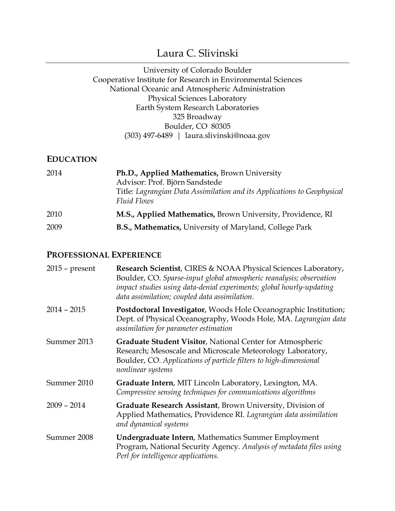# Laura C. Slivinski

#### University of Colorado Boulder Cooperative Institute for Research in Environmental Sciences National Oceanic and Atmospheric Administration Physical Sciences Laboratory Earth System Research Laboratories 325 Broadway Boulder, CO 80305 (303) 497-6489 | laura.slivinski@noaa.gov

#### **EDUCATION**

| 2014 | Ph.D., Applied Mathematics, Brown University<br>Advisor: Prof. Björn Sandstede<br>Title: Lagrangian Data Assimilation and its Applications to Geophysical<br><b>Fluid Flows</b> |
|------|---------------------------------------------------------------------------------------------------------------------------------------------------------------------------------|
| 2010 | M.S., Applied Mathematics, Brown University, Providence, RI                                                                                                                     |
| 2009 | <b>B.S., Mathematics, University of Maryland, College Park</b>                                                                                                                  |

### **PROFESSIONAL EXPERIENCE**

| $2015$ – present | Research Scientist, CIRES & NOAA Physical Sciences Laboratory,<br>Boulder, CO. Sparse-input global atmospheric reanalysis; observation<br>impact studies using data-denial experiments; global hourly-updating<br>data assimilation; coupled data assimilation. |
|------------------|-----------------------------------------------------------------------------------------------------------------------------------------------------------------------------------------------------------------------------------------------------------------|
| $2014 - 2015$    | Postdoctoral Investigator, Woods Hole Oceanographic Institution;<br>Dept. of Physical Oceanography, Woods Hole, MA. Lagrangian data<br>assimilation for parameter estimation                                                                                    |
| Summer 2013      | Graduate Student Visitor, National Center for Atmospheric<br>Research; Mesoscale and Microscale Meteorology Laboratory,<br>Boulder, CO. Applications of particle filters to high-dimensional<br>nonlinear systems                                               |
| Summer 2010      | Graduate Intern, MIT Lincoln Laboratory, Lexington, MA.<br>Compressive sensing techniques for communications algorithms                                                                                                                                         |
| $2009 - 2014$    | Graduate Research Assistant, Brown University, Division of<br>Applied Mathematics, Providence RI. Lagrangian data assimilation<br>and dynamical systems                                                                                                         |
| Summer 2008      | <b>Undergraduate Intern, Mathematics Summer Employment</b><br>Program, National Security Agency. Analysis of metadata files using<br>Perl for intelligence applications.                                                                                        |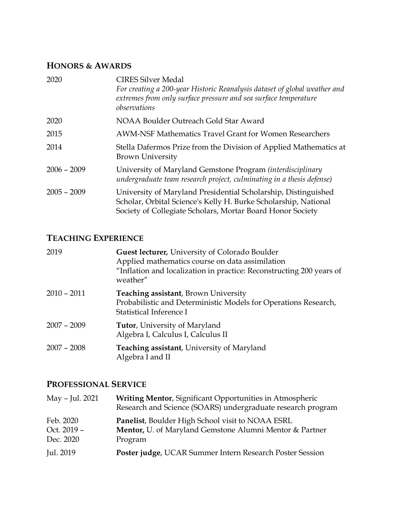# **HONORS & AWARDS**

| 2020          | <b>CIRES Silver Medal</b><br>For creating a 200-year Historic Reanalysis dataset of global weather and<br>extremes from only surface pressure and sea surface temperature<br>observations       |
|---------------|-------------------------------------------------------------------------------------------------------------------------------------------------------------------------------------------------|
| 2020          | NOAA Boulder Outreach Gold Star Award                                                                                                                                                           |
| 2015          | <b>AWM-NSF Mathematics Travel Grant for Women Researchers</b>                                                                                                                                   |
| 2014          | Stella Dafermos Prize from the Division of Applied Mathematics at<br><b>Brown University</b>                                                                                                    |
| $2006 - 2009$ | University of Maryland Gemstone Program (interdisciplinary<br>undergraduate team research project, culminating in a thesis defense)                                                             |
| $2005 - 2009$ | University of Maryland Presidential Scholarship, Distinguished<br>Scholar, Orbital Science's Kelly H. Burke Scholarship, National<br>Society of Collegiate Scholars, Mortar Board Honor Society |

# **TEACHING EXPERIENCE**

| 2019          | Guest lecturer, University of Colorado Boulder<br>Applied mathematics course on data assimilation<br>"Inflation and localization in practice: Reconstructing 200 years of<br>weather" |
|---------------|---------------------------------------------------------------------------------------------------------------------------------------------------------------------------------------|
| $2010 - 2011$ | <b>Teaching assistant</b> , Brown University<br>Probabilistic and Deterministic Models for Operations Research,<br>Statistical Inference I                                            |
| $2007 - 2009$ | <b>Tutor, University of Maryland</b><br>Algebra I, Calculus I, Calculus II                                                                                                            |
| $2007 - 2008$ | <b>Teaching assistant, University of Maryland</b><br>Algebra I and II                                                                                                                 |

# **PROFESSIONAL SERVICE**

| May - Jul. 2021                       | <b>Writing Mentor, Significant Opportunities in Atmospheric</b><br>Research and Science (SOARS) undergraduate research program |
|---------------------------------------|--------------------------------------------------------------------------------------------------------------------------------|
| Feb. 2020<br>Oct. 2019 -<br>Dec. 2020 | Panelist, Boulder High School visit to NOAA ESRL<br>Mentor, U. of Maryland Gemstone Alumni Mentor & Partner<br>Program         |
| Jul. 2019                             | Poster judge, UCAR Summer Intern Research Poster Session                                                                       |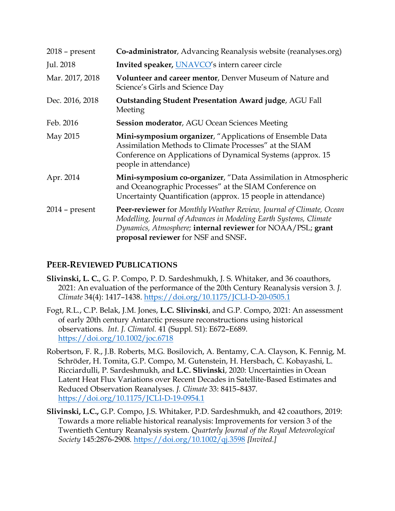| $2018$ – present | Co-administrator, Advancing Reanalysis website (reanalyses.org)                                                                                                                                                                                |
|------------------|------------------------------------------------------------------------------------------------------------------------------------------------------------------------------------------------------------------------------------------------|
| Jul. 2018        | Invited speaker, UNAVCO's intern career circle                                                                                                                                                                                                 |
| Mar. 2017, 2018  | <b>Volunteer and career mentor, Denver Museum of Nature and</b><br>Science's Girls and Science Day                                                                                                                                             |
| Dec. 2016, 2018  | <b>Outstanding Student Presentation Award judge, AGU Fall</b><br>Meeting                                                                                                                                                                       |
| Feb. 2016        | <b>Session moderator, AGU Ocean Sciences Meeting</b>                                                                                                                                                                                           |
| May 2015         | <b>Mini-symposium organizer,</b> "Applications of Ensemble Data<br>Assimilation Methods to Climate Processes" at the SIAM<br>Conference on Applications of Dynamical Systems (approx. 15)<br>people in attendance)                             |
| Apr. 2014        | Mini-symposium co-organizer, "Data Assimilation in Atmospheric<br>and Oceanographic Processes" at the SIAM Conference on<br>Uncertainty Quantification (approx. 15 people in attendance)                                                       |
| $2014$ – present | Peer-reviewer for Monthly Weather Review, Journal of Climate, Ocean<br>Modelling, Journal of Advances in Modeling Earth Systems, Climate<br>Dynamics, Atmosphere; internal reviewer for NOAA/PSL; grant<br>proposal reviewer for NSF and SNSF. |

## **PEER-REVIEWED PUBLICATIONS**

- **Slivinski, L. C.**, G. P. Compo, P. D. Sardeshmukh, J. S. Whitaker, and 36 coauthors, 2021: An evaluation of the performance of the 20th Century Reanalysis version 3. *J. Climate* 34(4): 1417–1438. https://doi.org/10.1175/JCLI-D-20-0505.1
- Fogt, R.L., C.P. Belak, J.M. Jones, **L.C. Slivinski**, and G.P. Compo, 2021: An assessment of early 20th century Antarctic pressure reconstructions using historical observations. *Int. J. Climatol.* 41 (Suppl. S1): E672–E689. https://doi.org/10.1002/joc.6718
- Robertson, F. R., J.B. Roberts, M.G. Bosilovich, A. Bentamy, C.A. Clayson, K. Fennig, M. Schröder, H. Tomita, G.P. Compo, M. Gutenstein, H. Hersbach, C. Kobayashi, L. Ricciardulli, P. Sardeshmukh, and **L.C. Slivinski**, 2020: Uncertainties in Ocean Latent Heat Flux Variations over Recent Decades in Satellite-Based Estimates and Reduced Observation Reanalyses. *J. Climate* 33: 8415–8437. https://doi.org/10.1175/JCLI-D-19-0954.1
- **Slivinski, L.C.,** G.P. Compo, J.S. Whitaker, P.D. Sardeshmukh, and 42 coauthors, 2019: Towards a more reliable historical reanalysis: Improvements for version 3 of the Twentieth Century Reanalysis system. *Quarterly Journal of the Royal Meteorological Society* 145:2876-2908. https://doi.org/10.1002/qj.3598 *[Invited.]*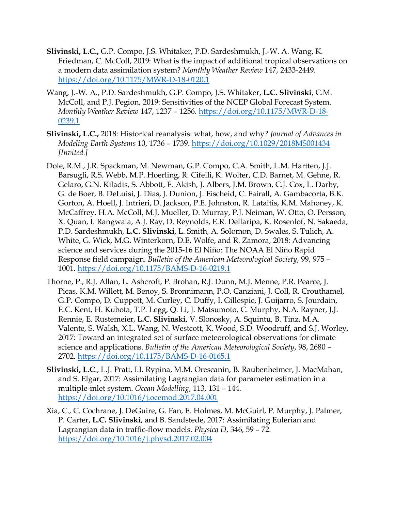- **Slivinski, L.C.,** G.P. Compo, J.S. Whitaker, P.D. Sardeshmukh, J.-W. A. Wang, K. Friedman, C. McColl, 2019: What is the impact of additional tropical observations on a modern data assimilation system? *Monthly Weather Review* 147, 2433-2449*.*  https://doi.org/10.1175/MWR-D-18-0120.1
- Wang, J.-W. A., P.D. Sardeshmukh, G.P. Compo, J.S. Whitaker, **L.C. Slivinski**, C.M. McColl, and P.J. Pegion, 2019: Sensitivities of the NCEP Global Forecast System. *Monthly Weather Review* 147, 1237 – 1256. https://doi.org/10.1175/MWR-D-18- 0239.1
- **Slivinski, L.C.,** 2018: Historical reanalysis: what, how, and why*? Journal of Advances in Modeling Earth Systems* 10, 1736 – 1739. https://doi.org/10.1029/2018MS001434 *[Invited.]*
- Dole, R.M., J.R. Spackman, M. Newman, G.P. Compo, C.A. Smith, L.M. Hartten, J.J. Barsugli, R.S. Webb, M.P. Hoerling, R. Cifelli, K. Wolter, C.D. Barnet, M. Gehne, R. Gelaro, G.N. Kiladis, S. Abbott, E. Akish, J. Albers, J.M. Brown, C.J. Cox, L. Darby, G. de Boer, B. DeLuisi, J. Dias, J. Dunion, J. Eischeid, C. Fairall, A. Gambacorta, B.K. Gorton, A. Hoell, J. Intrieri, D. Jackson, P.E. Johnston, R. Lataitis, K.M. Mahoney, K. McCaffrey, H.A. McColl, M.J. Mueller, D. Murray, P.J. Neiman, W. Otto, O. Persson, X. Quan, I. Rangwala, A.J. Ray, D. Reynolds, E.R. Dellaripa, K. Rosenlof, N. Sakaeda, P.D. Sardeshmukh, **L.C. Slivinski**, L. Smith, A. Solomon, D. Swales, S. Tulich, A. White, G. Wick, M.G. Winterkorn, D.E. Wolfe, and R. Zamora, 2018: Advancing science and services during the 2015-16 El Niño: The NOAA El Niño Rapid Response field campaign. *Bulletin of the American Meteorological Society*, 99, 975 – 1001. https://doi.org/10.1175/BAMS-D-16-0219.1
- Thorne, P., R.J. Allan, L. Ashcroft, P. Brohan, R.J. Dunn, M.J. Menne, P.R. Pearce, J. Picas, K.M. Willett, M. Benoy, S. Bronnimann, P.O. Canziani, J. Coll, R. Crouthamel, G.P. Compo, D. Cuppett, M. Curley, C. Duffy, I. Gillespie, J. Guijarro, S. Jourdain, E.C. Kent, H. Kubota, T.P. Legg, Q. Li, J. Matsumoto, C. Murphy, N.A. Rayner, J.J. Rennie, E. Rustemeier, **L.C. Slivinski**, V. Slonosky, A. Squintu, B. Tinz, M.A. Valente, S. Walsh, X.L. Wang, N. Westcott, K. Wood, S.D. Woodruff, and S.J. Worley, 2017: Toward an integrated set of surface meteorological observations for climate science and applications. *Bulletin of the American Meteorological Society*, 98, 2680 – 2702. https://doi.org/10.1175/BAMS-D-16-0165.1
- **Slivinski, L.C**., L.J. Pratt, I.I. Rypina, M.M. Orescanin, B. Raubenheimer, J. MacMahan, and S. Elgar, 2017: Assimilating Lagrangian data for parameter estimation in a multiple-inlet system. *Ocean Modelling*, 113, 131 – 144. https://doi.org/10.1016/j.ocemod.2017.04.001
- Xia, C., C. Cochrane, J. DeGuire, G. Fan, E. Holmes, M. McGuirl, P. Murphy, J. Palmer, P. Carter, **L.C. Slivinski**, and B. Sandstede, 2017: Assimilating Eulerian and Lagrangian data in traffic-flow models. *Physica D*, 346, 59 – 72. https://doi.org/10.1016/j.physd.2017.02.004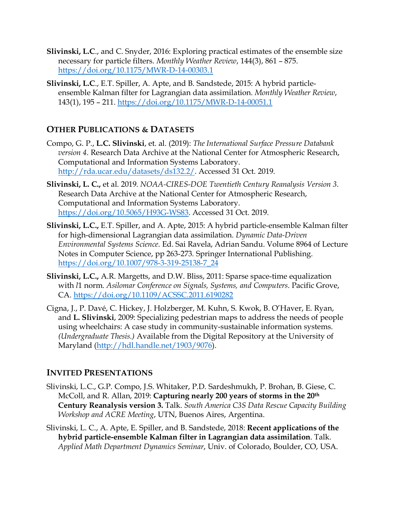- **Slivinski, L.C**., and C. Snyder, 2016: Exploring practical estimates of the ensemble size necessary for particle filters. *Monthly Weather Review*, 144(3), 861 – 875. https://doi.org/10.1175/MWR-D-14-00303.1
- **Slivinski, L.C**., E.T. Spiller, A. Apte, and B. Sandstede, 2015: A hybrid particleensemble Kalman filter for Lagrangian data assimilation. *Monthly Weather Review*, 143(1), 195 – 211. https://doi.org/10.1175/MWR-D-14-00051.1

## **OTHER PUBLICATIONS & DATASETS**

- Compo, G. P., **L.C. Slivinski**, et. al. (2019): *The International Surface Pressure Databank version 4*. Research Data Archive at the National Center for Atmospheric Research, Computational and Information Systems Laboratory. http://rda.ucar.edu/datasets/ds132.2/. Accessed 31 Oct. 2019.
- **Slivinski, L. C.,** et al. 2019. *NOAA-CIRES-DOE Twentieth Century Reanalysis Version 3*. Research Data Archive at the National Center for Atmospheric Research, Computational and Information Systems Laboratory. https://doi.org/10.5065/H93G-WS83. Accessed 31 Oct. 2019.
- **Slivinski, L.C.,** E.T. Spiller, and A. Apte, 2015: A hybrid particle-ensemble Kalman filter for high-dimensional Lagrangian data assimilation. *Dynamic Data-Driven Environmental Systems Science*. Ed. Sai Ravela, Adrian Sandu. Volume 8964 of Lecture Notes in Computer Science, pp 263-273. Springer International Publishing. https://doi.org/10.1007/978-3-319-25138-7\_24
- **Slivinski, L.C.,** A.R. Margetts, and D.W. Bliss, 2011: Sparse space-time equalization with *l*1 norm. *Asilomar Conference on Signals, Systems, and Computers*. Pacific Grove, CA. https://doi.org/10.1109/ACSSC.2011.6190282
- Cigna, J., P. Davé, C. Hickey, J. Holzberger, M. Kuhn, S. Kwok, B. O'Haver, E. Ryan, and **L. Slivinski**, 2009: Specializing pedestrian maps to address the needs of people using wheelchairs: A case study in community-sustainable information systems. *(Undergraduate Thesis.)* Available from the Digital Repository at the University of Maryland (http://hdl.handle.net/1903/9076).

## **INVITED PRESENTATIONS**

- Slivinski, L.C., G.P. Compo, J.S. Whitaker, P.D. Sardeshmukh, P. Brohan, B. Giese, C. McColl, and R. Allan, 2019: **Capturing nearly 200 years of storms in the 20th Century Reanalysis version 3.** Talk. *South America C3S Data Rescue Capacity Building Workshop and ACRE Meeting*, UTN, Buenos Aires, Argentina.
- Slivinski, L. C., A. Apte, E. Spiller, and B. Sandstede, 2018: **Recent applications of the hybrid particle-ensemble Kalman filter in Lagrangian data assimilation**. Talk. *Applied Math Department Dynamics Seminar*, Univ. of Colorado, Boulder, CO, USA.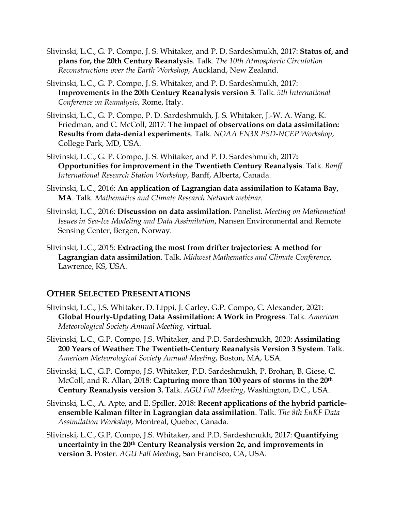- Slivinski, L.C., G. P. Compo, J. S. Whitaker, and P. D. Sardeshmukh, 2017: **Status of, and plans for, the 20th Century Reanalysis**. Talk. *The 10th Atmospheric Circulation Reconstructions over the Earth Workshop*, Auckland, New Zealand.
- Slivinski, L.C., G. P. Compo, J. S. Whitaker, and P. D. Sardeshmukh, 2017: **Improvements in the 20th Century Reanalysis version 3**. Talk. *5th International Conference on Reanalysis*, Rome, Italy.
- Slivinski, L.C., G. P. Compo, P. D. Sardeshmukh, J. S. Whitaker, J.-W. A. Wang, K. Friedman, and C. McColl, 2017: **The impact of observations on data assimilation: Results from data-denial experiments**. Talk. *NOAA EN3R PSD-NCEP Workshop*, College Park, MD, USA.
- Slivinski, L.C., G. P. Compo, J. S. Whitaker, and P. D. Sardeshmukh, 2017**: Opportunities for improvement in the Twentieth Century Reanalysis**. Talk. *Banff International Research Station Workshop*, Banff, Alberta, Canada.
- Slivinski, L.C., 2016: **An application of Lagrangian data assimilation to Katama Bay, MA**. Talk. *Mathematics and Climate Research Network webinar*.
- Slivinski, L.C., 2016: **Discussion on data assimilation**. Panelist. *Meeting on Mathematical Issues in Sea-Ice Modeling and Data Assimilation*, Nansen Environmental and Remote Sensing Center, Bergen, Norway.
- Slivinski, L.C., 2015: **Extracting the most from drifter trajectories: A method for Lagrangian data assimilation**. Talk. *Midwest Mathematics and Climate Conference*, Lawrence, KS, USA.

#### **OTHER SELECTED PRESENTATIONS**

- Slivinski, L.C., J.S. Whitaker, D. Lippi, J. Carley, G.P. Compo, C. Alexander, 2021: **Global Hourly-Updating Data Assimilation: A Work in Progress**. Talk. *American Meteorological Society Annual Meeting,* virtual.
- Slivinski, L.C., G.P. Compo, J.S. Whitaker, and P.D. Sardeshmukh, 2020: **Assimilating 200 Years of Weather: The Twentieth-Century Reanalysis Version 3 System**. Talk. *American Meteorological Society Annual Meeting*, Boston, MA, USA.
- Slivinski, L.C., G.P. Compo, J.S. Whitaker, P.D. Sardeshmukh, P. Brohan, B. Giese, C. McColl, and R. Allan, 2018: **Capturing more than 100 years of storms in the 20th Century Reanalysis version 3.** Talk. *AGU Fall Meeting*, Washington, D.C., USA.
- Slivinski, L.C., A. Apte, and E. Spiller, 2018: **Recent applications of the hybrid particleensemble Kalman filter in Lagrangian data assimilation**. Talk. *The 8th EnKF Data Assimilation Workshop*, Montreal, Quebec, Canada.
- Slivinski, L.C., G.P. Compo, J.S. Whitaker, and P.D. Sardeshmukh, 2017: **Quantifying uncertainty in the 20th Century Reanalysis version 2c, and improvements in version 3.** Poster. *AGU Fall Meeting*, San Francisco, CA, USA.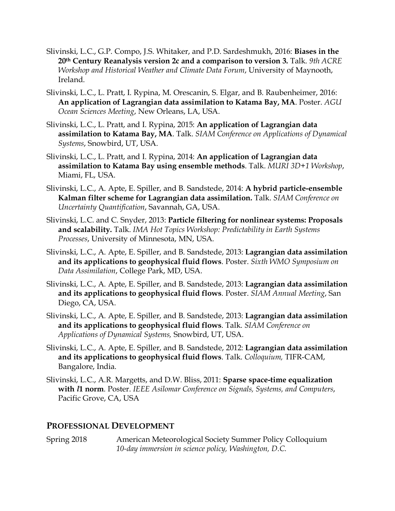- Slivinski, L.C., G.P. Compo, J.S. Whitaker, and P.D. Sardeshmukh, 2016: **Biases in the 20th Century Reanalysis version 2c and a comparison to version 3.** Talk. *9th ACRE Workshop and Historical Weather and Climate Data Forum*, University of Maynooth, Ireland.
- Slivinski, L.C., L. Pratt, I. Rypina, M. Orescanin, S. Elgar, and B. Raubenheimer, 2016: **An application of Lagrangian data assimilation to Katama Bay, MA**. Poster. *AGU Ocean Sciences Meeting*, New Orleans, LA, USA.
- Slivinski, L.C., L. Pratt, and I. Rypina, 2015: **An application of Lagrangian data assimilation to Katama Bay, MA**. Talk. *SIAM Conference on Applications of Dynamical Systems*, Snowbird, UT, USA.
- Slivinski, L.C., L. Pratt, and I. Rypina, 2014: **An application of Lagrangian data assimilation to Katama Bay using ensemble methods**. Talk. *MURI 3D+1 Workshop*, Miami, FL, USA.
- Slivinski, L.C., A. Apte, E. Spiller, and B. Sandstede, 2014: **A hybrid particle-ensemble Kalman filter scheme for Lagrangian data assimilation.** Talk. *SIAM Conference on Uncertainty Quantification*, Savannah, GA, USA.
- Slivinski, L.C. and C. Snyder, 2013: **Particle filtering for nonlinear systems: Proposals and scalability.** Talk. *IMA Hot Topics Workshop: Predictability in Earth Systems Processes*, University of Minnesota, MN, USA.
- Slivinski, L.C., A. Apte, E. Spiller, and B. Sandstede, 2013: **Lagrangian data assimilation and its applications to geophysical fluid flows**. Poster. *Sixth WMO Symposium on Data Assimilation*, College Park, MD, USA.
- Slivinski, L.C., A. Apte, E. Spiller, and B. Sandstede, 2013: **Lagrangian data assimilation and its applications to geophysical fluid flows**. Poster. *SIAM Annual Meeting*, San Diego, CA, USA.
- Slivinski, L.C., A. Apte, E. Spiller, and B. Sandstede, 2013: **Lagrangian data assimilation and its applications to geophysical fluid flows**. Talk. *SIAM Conference on Applications of Dynamical Systems,* Snowbird, UT, USA.
- Slivinski, L.C., A. Apte, E. Spiller, and B. Sandstede, 2012: **Lagrangian data assimilation and its applications to geophysical fluid flows**. Talk. *Colloquium,* TIFR-CAM, Bangalore, India.
- Slivinski, L.C., A.R. Margetts, and D.W. Bliss, 2011: **Sparse space-time equalization with** *l***1 norm**. Poster. *IEEE Asilomar Conference on Signals, Systems, and Computers*, Pacific Grove, CA, USA

#### **PROFESSIONAL DEVELOPMENT**

Spring 2018 American Meteorological Society Summer Policy Colloquium *10-day immersion in science policy, Washington, D.C.*